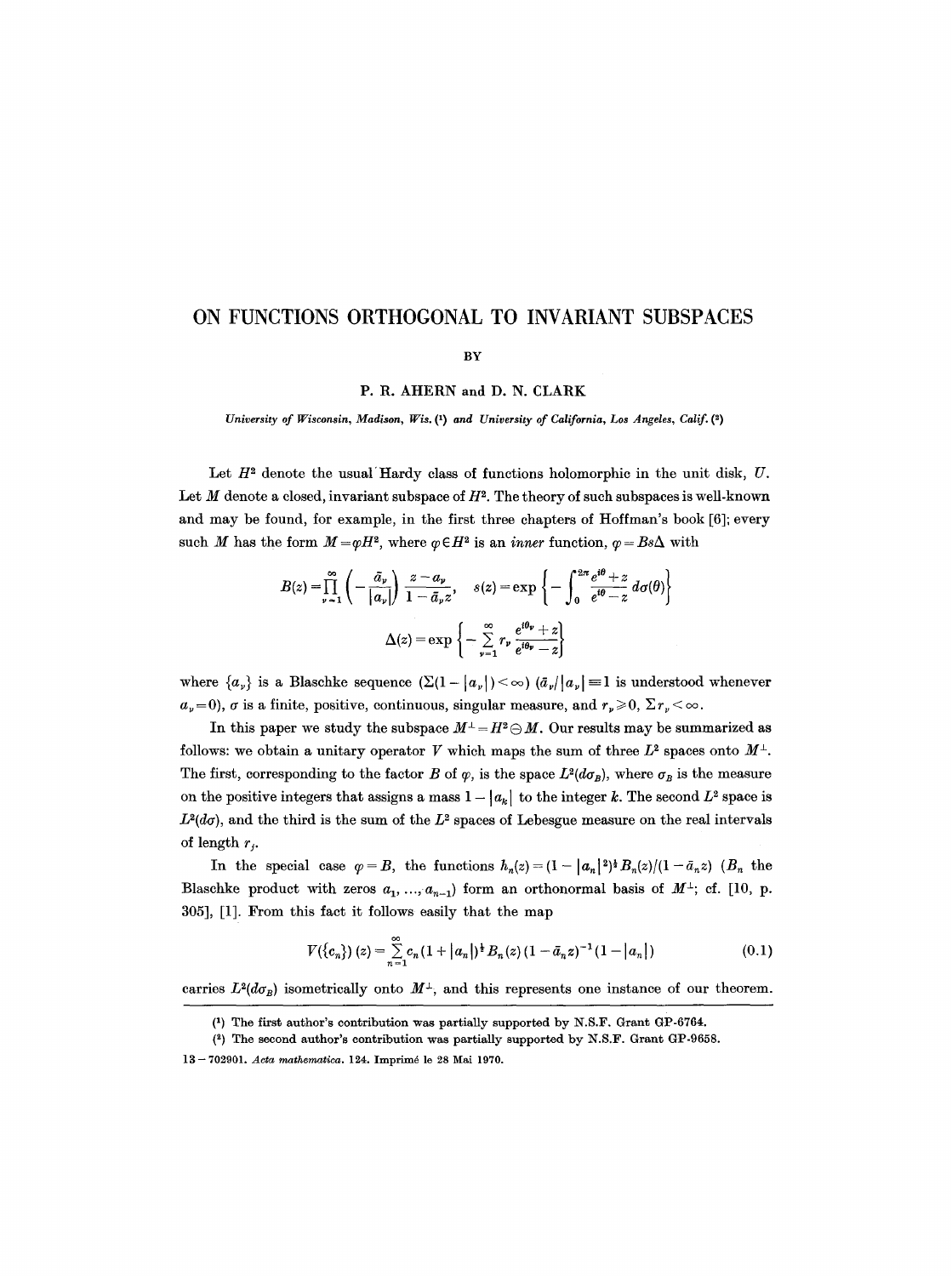# **ON FUNCTIONS ORTHOGONAL TO INVARIANT SUBSPACES**

#### BY

P. R. AHERN and D. N. CLARK

*University of Wisconsin, Madison, Wis. Q) and University of California, Los Angeles, Calif. (~)* 

Let  $H<sup>2</sup>$  denote the usual Hardy class of functions holomorphic in the unit disk,  $U$ . Let  $M$  denote a closed, invariant subspace of  $H^2$ . The theory of such subspaces is well-known and may be found, for example, in the first three chapters of Hoffman's book [6]; every such *M* has the form  $M = \varphi H^2$ , where  $\varphi \in H^2$  is an *inner* function,  $\varphi = Bs\Delta$  with

$$
B(z) = \prod_{\nu=1}^{\infty} \left( -\frac{\bar{a}_{\nu}}{|a_{\nu}|} \right) \frac{z - a_{\nu}}{1 - \bar{a}_{\nu} z}, \quad s(z) = \exp\left\{ -\int_{0}^{2\pi} \frac{e^{i\theta} + z}{e^{i\theta} - z} d\sigma(\theta) \right\}
$$

$$
\Delta(z) = \exp\left\{ -\sum_{\nu=1}^{\infty} r_{\nu} \frac{e^{i\theta_{\nu}} + z}{e^{i\theta_{\nu}} - z} \right\}
$$

where  $\{a_{\nu}\}\$ is a Blaschke sequence  $(\Sigma(1-|a_{\nu}|)<\infty)$   $(\bar{a}_{\nu}/|a_{\nu}|=1$  is understood whenever  $a_{\nu}=0$ ,  $\sigma$  is a finite, positive, continuous, singular measure, and  $r_{\nu}\geq 0$ ,  $\sum r_{\nu}<\infty$ .

In this paper we study the subspace  $M^{\perp} = H^2 \ominus M$ . Our results may be summarized as follows: we obtain a unitary operator V which maps the sum of three  $L^2$  spaces onto  $M^{\perp}$ . The first, corresponding to the factor B of  $\varphi$ , is the space  $L^2(d\sigma_B)$ , where  $\sigma_B$  is the measure on the positive integers that assigns a mass  $1 - |a_k|$  to the integer k. The second  $L^2$  space is  $L^2(d\sigma)$ , and the third is the sum of the  $L^2$  spaces of Lebesgue measure on the real intervals of length  $r_i$ .

In the special case  $\varphi = B$ , the functions  $h_n(z) = (1-|a_n|^2)^* B_n(z)/(1-\bar{a}_n z)$  ( $B_n$  the Blaschke product with zeros  $a_1, ..., a_{n-1}$ ) form an orthonormal basis of  $M^{\perp}$ ; cf. [10, p. 305], [1]. From this fact it follows easily that the map

$$
V({c_n}) (z) = \sum_{n=1}^{\infty} c_n (1 + |a_n|)^{\frac{1}{2}} B_n(z) (1 - \bar{a}_n z)^{-1} (1 - |a_n|)
$$
 (0.1)

carries  $L^2(d\sigma_B)$  isometrically onto  $M^{\perp}$ , and this represents one instance of our theorem.

<sup>(1)</sup> The first author's contribution was partially supported by N.S.F. Grant GP-6764.

 $(2)$  The second author's contribution was partially supported by N.S.F. Grant GP-9658.

<sup>13 - 702901.</sup> *Acta mathematlca.* 124. Imprim6 le 28 Mai 1970.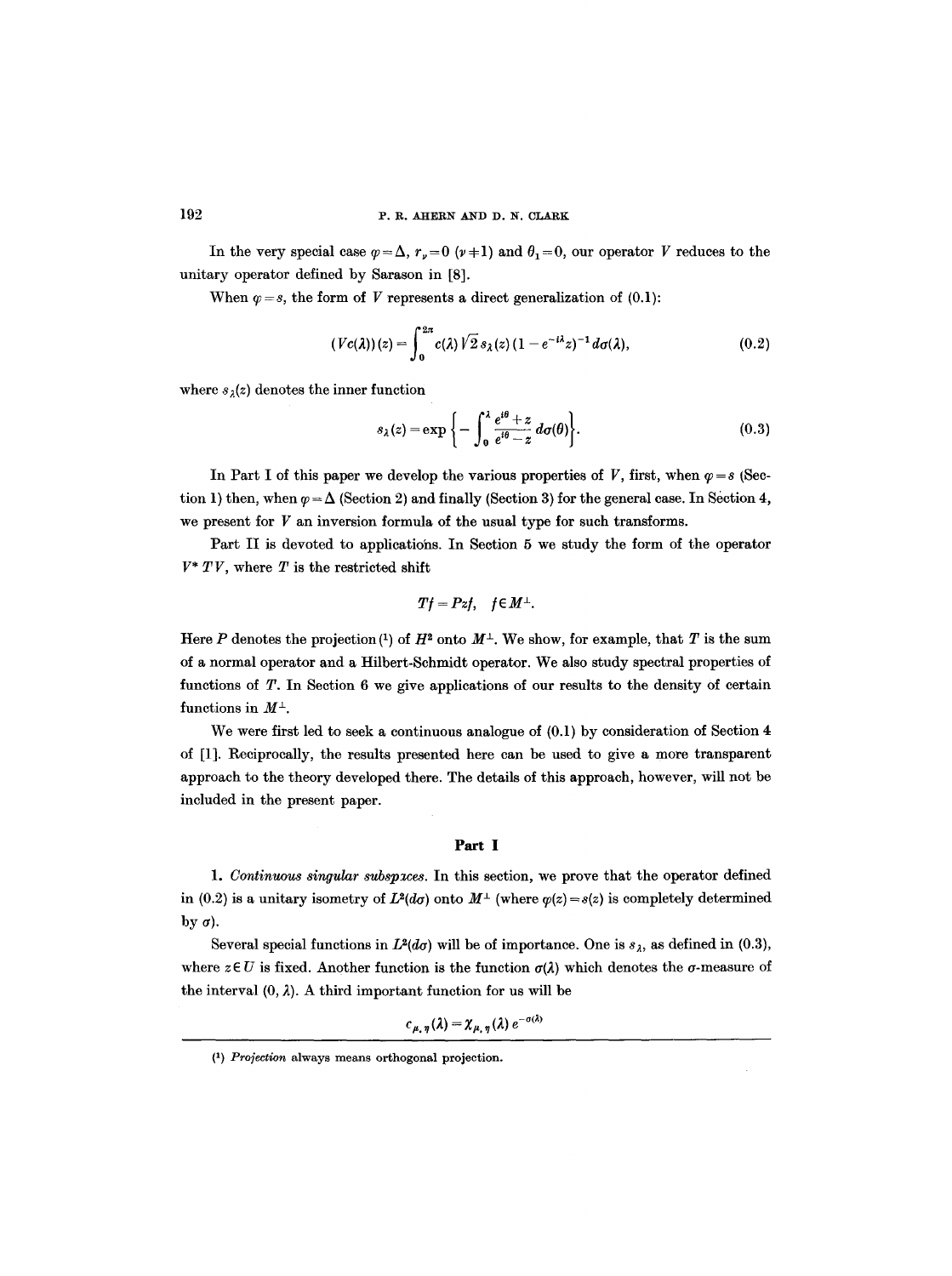In the very special case  $\varphi = \Delta$ ,  $r_y = 0$  ( $\nu = 1$ ) and  $\theta_1 = 0$ , our operator V reduces to the unitary operator defined by Sarason in [8].

When  $\varphi = s$ , the form of V represents a direct generalization of (0.1):

$$
(Vc(\lambda))(z) = \int_0^{2\pi} c(\lambda) \sqrt{2} s_\lambda(z) (1 - e^{-i\lambda} z)^{-1} d\sigma(\lambda), \qquad (0.2)
$$

where  $s_2(z)$  denotes the inner function

$$
s_{\lambda}(z) = \exp\bigg\{-\int_0^{\lambda} \frac{e^{i\theta} + z}{e^{i\theta} - z} d\sigma(\theta)\bigg\}.
$$
 (0.3)

In Part I of this paper we develop the various properties of V, first, when  $\varphi = s$  (Section 1) then, when  $\varphi = \Delta$  (Section 2) and finally (Section 3) for the general case. In Section 4, we present for  $V$  an inversion formula of the usual type for such transforms.

Part II is devoted to applieatiohs. In Section 5 we study the form of the operator  $V^*$  TV, where T is the restricted shift

$$
Tf = Pzf, \quad f \in M^{\perp}.
$$

Here P denotes the projection (1) of  $H^2$  onto  $M^{\perp}$ . We show, for example, that T is the sum of a normal operator and a Hilbert-Schmidt operator. We also study spectral properties of functions of T. In Section 6 we give applications of our results to the density of certain functions in  $M^{\perp}$ .

We were first led to seek a continuous analogue of  $(0,1)$  by consideration of Section 4 of [1]. Reciprocally, the results presented here can be used to give a more transparent approach to the theory developed there. The details of this approach, however, will not be included in the present paper.

### **Part I**

1. Continuous singular subspaces. In this section, we prove that the operator defined in (0.2) is a unitary isometry of  $L^2(d\sigma)$  onto  $M^{\perp}$  (where  $\varphi(z) = s(z)$  is completely determined by  $\sigma$ ).

Several special functions in  $L^2(d\sigma)$  will be of importance. One is  $s_\lambda$ , as defined in (0.3), where  $z \in U$  is fixed. Another function is the function  $\sigma(\lambda)$  which denotes the  $\sigma$ -measure of the interval  $(0, \lambda)$ . A third important function for us will be

$$
c_{\mu,\eta}(\lambda) = \chi_{\mu,\eta}(\lambda) e^{-\sigma(\lambda)}
$$

*<sup>(1)</sup> Projection* always means orthogonal projection.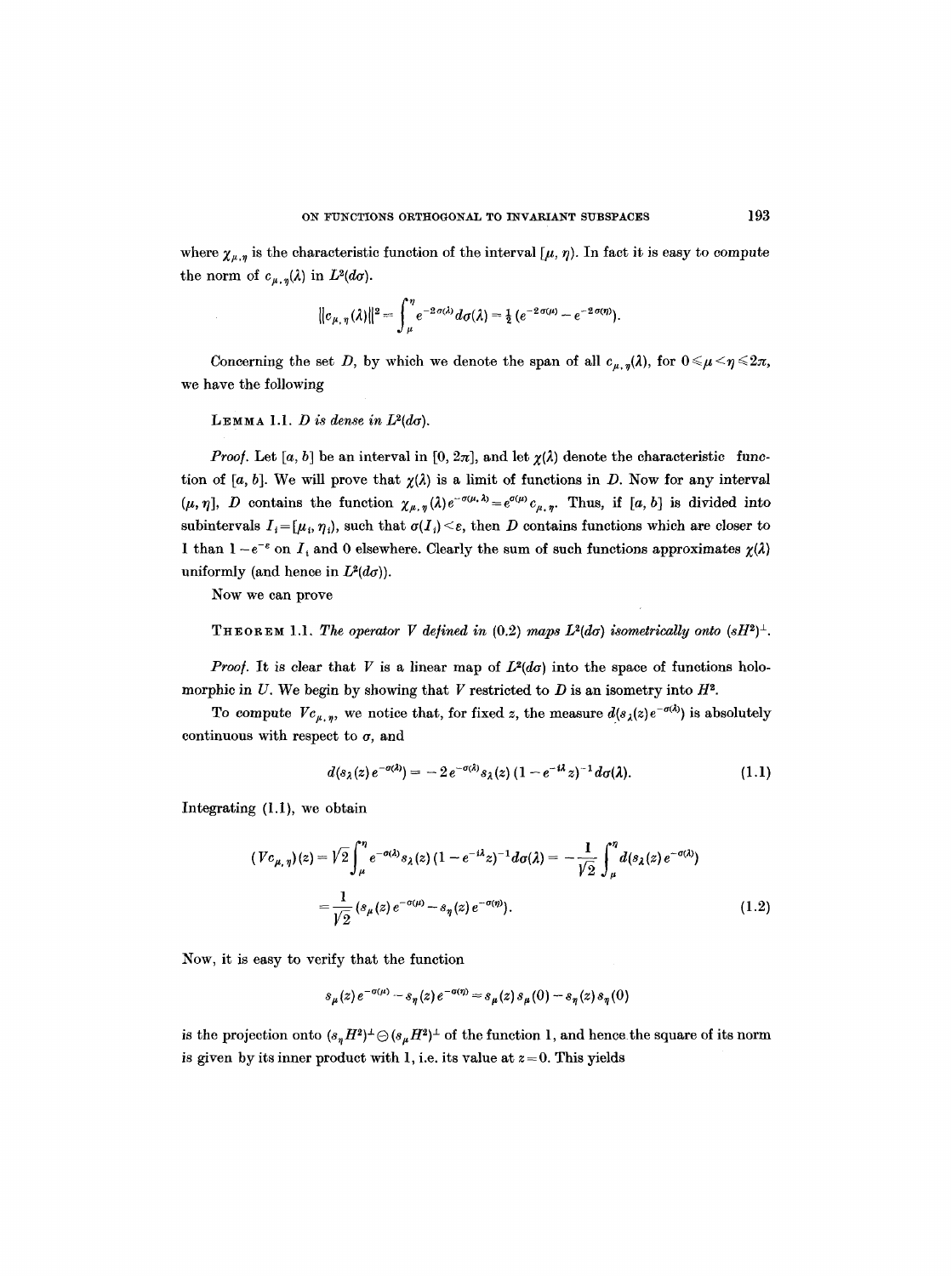where  $\chi_{\mu,\eta}$  is the characteristic function of the interval  $[\mu, \eta)$ . In fact it is easy to compute the norm of  $c_{\mu,\eta}(\lambda)$  in  $L^2(d\sigma)$ .

$$
||c_{\mu,\eta}(\lambda)||^2 = \int_{\mu}^{\eta} e^{-2\sigma(\lambda)} d\sigma(\lambda) = \frac{1}{2} (e^{-2\sigma(\mu)} - e^{-2\sigma(\eta)}).
$$

Concerning the set D, by which we denote the span of all  $c_{\mu,n}(\lambda)$ , for  $0 \le \mu \le n \le 2\pi$ , we have the following

LEMMA 1.1. *D* is dense in  $L^2(d\sigma)$ .

*Proof.* Let [a, b] be an interval in [0,  $2\pi$ ], and let  $\chi(\lambda)$  denote the characteristic function of [a, b]. We will prove that  $\chi(\lambda)$  is a limit of functions in D. Now for any interval  $(\mu, \eta], D$  contains the function  $\chi_{\mu, \eta}(\lambda) e^{-\sigma(\mu, \lambda)} = e^{\sigma(\mu)} c_{\mu, \eta}$ . Thus, if [a, b] is divided into subintervals  $I_i = [\mu_i, \eta_i)$ , such that  $\sigma(I_i) \leq \varepsilon$ , then D contains functions which are closer to I than  $1 - e^{-\varepsilon}$  on  $I_+$  and 0 elsewhere. Clearly the sum of such functions approximates  $\chi(\lambda)$ uniformly (and hence in  $L^2(d\sigma)$ ).

Now we can prove

THEOREM 1.1. The operator V defined in (0.2) maps  $L^2(d\sigma)$  isometrically onto  $(sH^2)^{\perp}$ .

*Proof.* It is clear that V is a linear map of  $L^2(d\sigma)$  into the space of functions holomorphie in U. We begin by showing that V restricted to  $D$  is an isometry into  $H^2$ .

To compute  $Vc_{\mu,\eta}$ , we notice that, for fixed z, the measure  $d(s_{\lambda}(z)e^{-\sigma(\lambda)})$  is absolutely continuous with respect to  $\sigma$ , and

$$
d(s_{\lambda}(z)e^{-\sigma(\lambda)}) = -2e^{-\sigma(\lambda)}s_{\lambda}(z)(1-e^{-i\lambda}z)^{-1}d\sigma(\lambda).
$$
 (1.1)

Integrating (1.I), we obtain

$$
(Vc_{\mu,\eta})(z) = \sqrt{2} \int_{\mu}^{\eta} e^{-\sigma(\lambda)} s_{\lambda}(z) (1 - e^{-i\lambda} z)^{-1} d\sigma(\lambda) = -\frac{1}{\sqrt{2}} \int_{\mu}^{\eta} d(s_{\lambda}(z) e^{-\sigma(\lambda)})
$$
  
=  $\frac{1}{\sqrt{2}} (s_{\mu}(z) e^{-\sigma(\mu)} - s_{\eta}(z) e^{-\sigma(\eta)})$ . (1.2)

Now, it is easy to verify that the function

$$
s_{\mu}(z)e^{-\sigma(\mu)} - s_{\eta}(z)e^{-\sigma(\eta)} = s_{\mu}(z)s_{\mu}(0) - s_{\eta}(z)s_{\eta}(0)
$$

is the projection onto  $(s_n H^2)^{\perp} \ominus (s_\mu H^2)^{\perp}$  of the function 1, and hence the square of its norm is given by its inner product with 1, i.e. its value at  $z = 0$ . This yields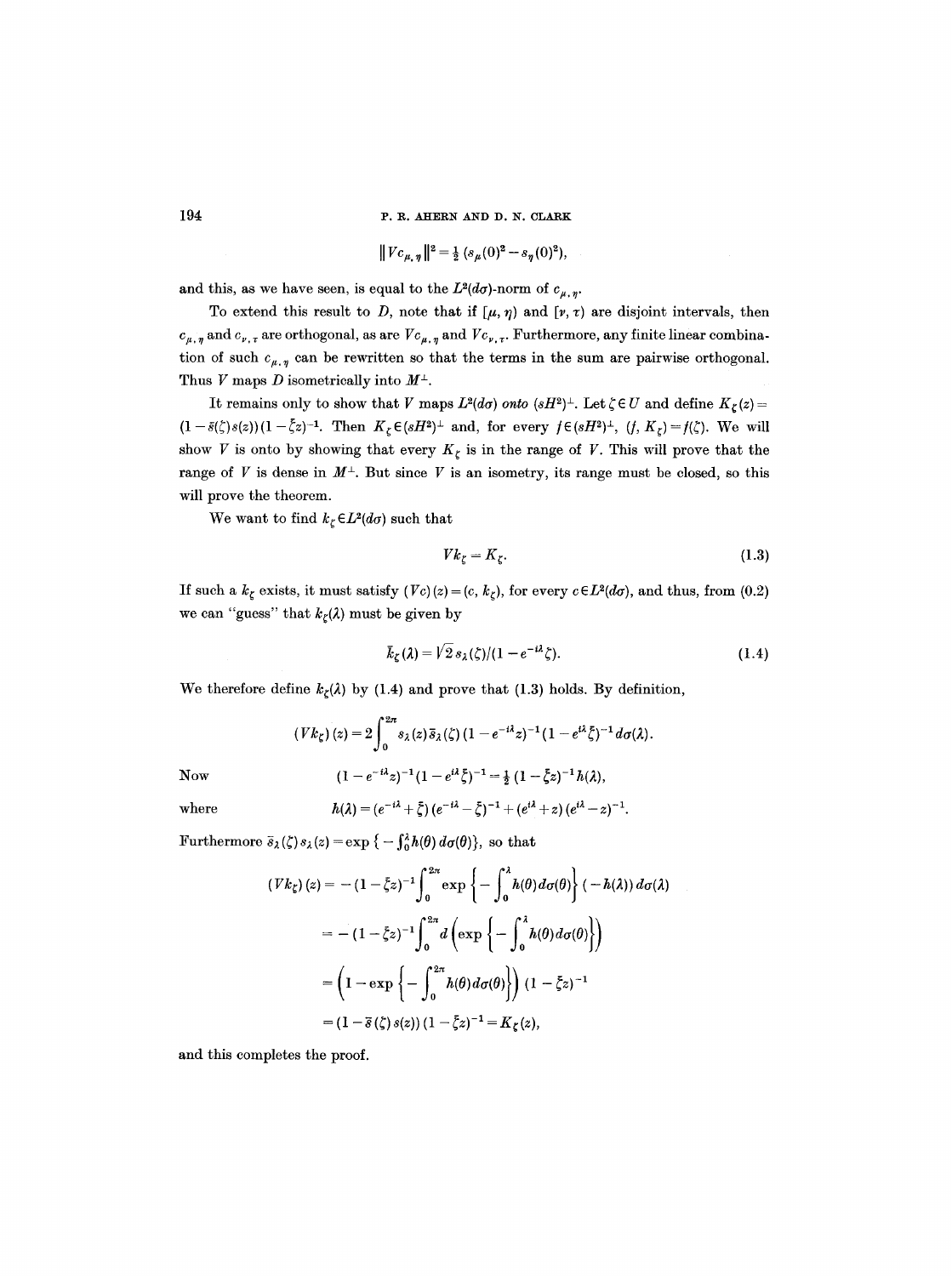$$
||Vc_{\mu,\eta}||^2 = \frac{1}{2} (s_{\mu}(0)^2 - s_{\eta}(0)^2),
$$

and this, as we have seen, is equal to the  $L^2(d\sigma)$ -norm of  $c_{\mu, \eta}$ .

To extend this result to D, note that if  $[\mu, \eta]$  and  $[\nu, \tau)$  are disjoint intervals, then  $c_{\mu,\eta}$  and  $c_{\nu,\tau}$  are orthogonal, as are  $Vc_{\mu,\eta}$  and  $Vc_{\nu,\tau}$ . Furthermore, any finite linear combination of such  $c_{\mu, \eta}$  can be rewritten so that the terms in the sum are pairwise orthogonal. Thus V maps D isometrically into  $M^{\perp}$ .

It remains only to show that V maps  $L^2(d\sigma)$  *onto*  $(sH^2)^{\perp}$ . Let  $\zeta \in U$  and define  $K_{\zeta}(z) =$  $(1-\bar{s}(\zeta)s(z))(1-\bar{\zeta}z)^{-1}$ . Then  $K_{\zeta}\in (sH^2)^{\perp}$  and, for every  $f\in (sH^2)^{\perp}$ ,  $(f, K_{\zeta})=f(\zeta)$ . We will show V is onto by showing that every  $K_{\zeta}$  is in the range of V. This will prove that the range of V is dense in  $M^{\perp}$ . But since V is an isometry, its range must be closed, so this will prove the theorem.

We want to find  $k_{\zeta} \in L^2(d\sigma)$  such that

$$
Vk_{\zeta} = K_{\zeta}.\tag{1.3}
$$

If such a  $k<sub>\zeta</sub>$  exists, it must satisfy  $(Vc)(z) = (c, k<sub>\zeta</sub>)$ , for every  $c \in L^2(d\sigma)$ , and thus, from (0.2) we can "guess" that  $k_{\zeta}(\lambda)$  must be given by

$$
\bar{k}_{\zeta}(\lambda) = \sqrt{2} s_{\lambda}(\zeta)/(1 - e^{-i\lambda}\zeta). \tag{1.4}
$$

We therefore define  $k_{\zeta}(\lambda)$  by (1.4) and prove that (1.3) holds. By definition,

$$
(Vk_{\zeta})(z) = 2 \int_0^{2\pi} s_{\lambda}(z) \, \bar{s}_{\lambda}(\zeta) \, (1 - e^{-i\lambda} z)^{-1} \, (1 - e^{i\lambda} \bar{\zeta})^{-1} \, d\sigma(\lambda).
$$
\nNow

\n
$$
(1 - e^{-i\lambda} z)^{-1} \, (1 - e^{i\lambda} \bar{\zeta})^{-1} = \frac{1}{2} \, (1 - \bar{\zeta} z)^{-1} \, h(\lambda),
$$

where 
$$
h(\lambda) = (e^{-i\lambda} + \xi) (e^{-i\lambda} - \xi)^{-1} + (e^{i\lambda} + z) (e^{i\lambda} - z)^{-1}.
$$

Furthermore  $\bar{s}_{\lambda}(\zeta) s_{\lambda}(z) = \exp \{-\int_0^{\lambda} h(\theta) d\sigma(\theta)\}\text{, so that}$ 

$$
\begin{aligned} \left( Vk_{\zeta} \right)(z) &= -\left( 1 - \bar{\zeta}z \right)^{-1} \int_{0}^{2\pi} \exp\left\{ -\int_{0}^{\lambda} h(\theta) d\sigma(\theta) \right\} \left( -h(\lambda) \right) d\sigma(\lambda) \\ &= -\left( 1 - \bar{\zeta}z \right)^{-1} \int_{0}^{2\pi} d\left( \exp\left\{ -\int_{0}^{\lambda} h(\theta) d\sigma(\theta) \right\} \right) \\ &= \left( 1 - \exp\left\{ -\int_{0}^{2\pi} h(\theta) d\sigma(\theta) \right\} \right) \left( 1 - \bar{\zeta}z \right)^{-1} \\ &= \left( 1 - \bar{s} \left( \zeta \right) s(z) \right) \left( 1 - \bar{\zeta}z \right)^{-1} = K_{\zeta}(z), \end{aligned}
$$

and this completes the proof.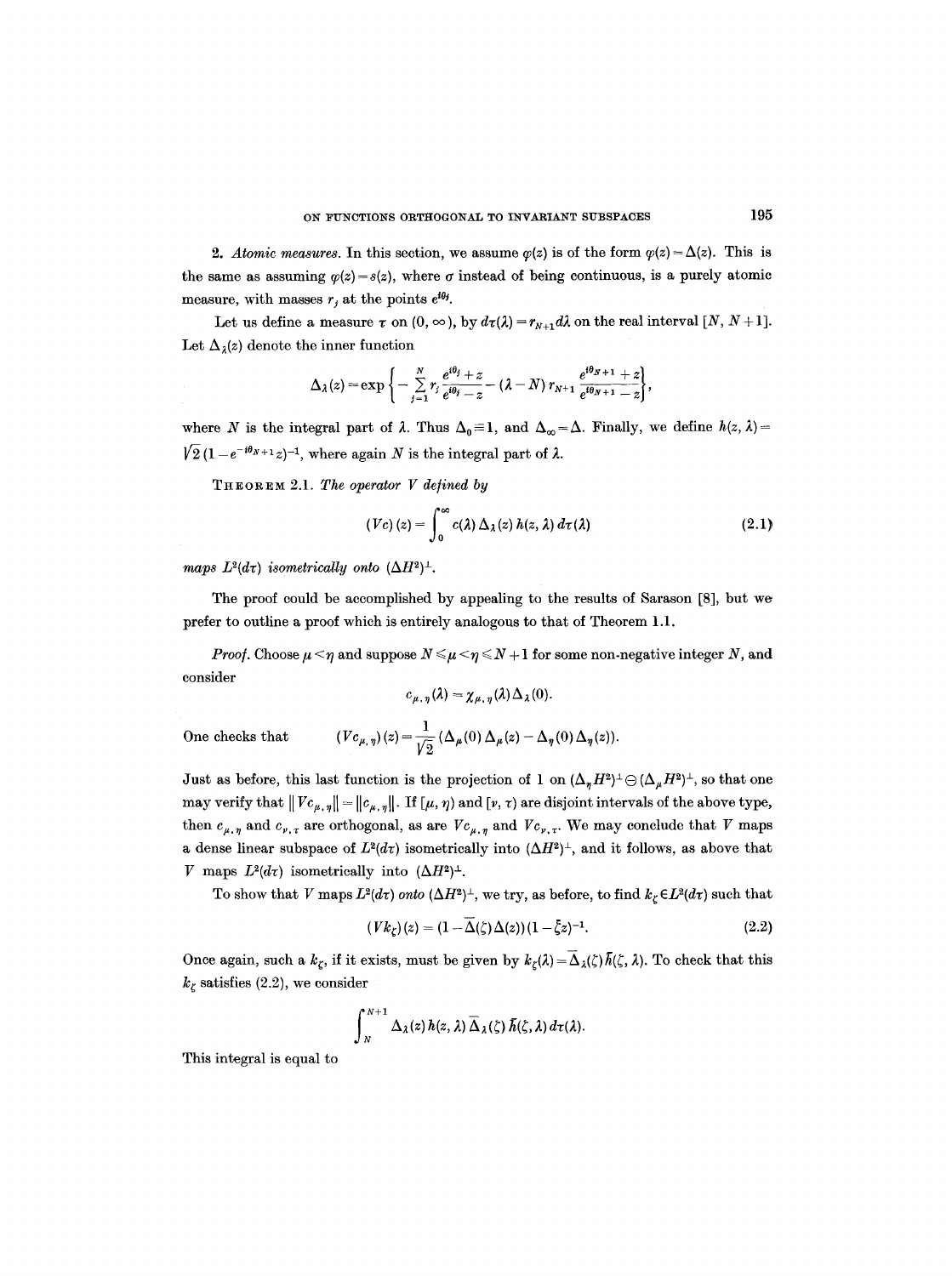2. *Atomic measures.* In this section, we assume  $\varphi(z)$  is of the form  $\varphi(z) = \Delta(z)$ . This is the same as assuming  $\varphi(z)=s(z)$ , where  $\sigma$  instead of being continuous, is a purely atomic measure, with masses  $r_i$  at the points  $e^{i\theta_i}$ .

Let us define a measure  $\tau$  on  $(0, \infty)$ , by  $d\tau(\lambda) = r_{N+1}d\lambda$  on the real interval  $[N, N+1]$ . Let  $\Delta_{\lambda}(z)$  denote the inner function

$$
\Delta_{\lambda}(z)=\exp\left\{-\sum_{j=1}^N r_j\frac{e^{i\theta_j}+z}{e^{i\theta_j}-z}-\left(\lambda-N\right)r_{N+1}\frac{e^{i\theta_{N+1}}+z}{e^{i\theta_{N+1}}-z}\right\},\,
$$

where N is the integral part of  $\lambda$ . Thus  $\Delta_0 \equiv 1$ , and  $\Delta_{\infty} = \Delta$ . Finally, we define  $h(z, \lambda) =$  $\sqrt{2} (1 - e^{-i\theta_{N+1}} z)^{-1}$ , where again N is the integral part of  $\lambda$ .

THEOREM 2.1. The operator V defined by

$$
(Vc)(z) = \int_0^\infty c(\lambda) \Delta_\lambda(z) h(z, \lambda) d\tau(\lambda)
$$
 (2.1)

*maps*  $L^2(d\tau)$  *isometrically onto*  $(\Delta H^2)^{\perp}$ .

The proof could be accomplished by appealing to the results of Sarason [8], but we prefer to outline a proof which is entirely analogous to that of Theorem 1.1.

*Proof.* Choose  $\mu < \eta$  and suppose  $N \le \mu < \eta \le N + 1$  for some non-negative integer N, and consider

$$
c_{\mu,\eta}(\lambda)=\chi_{\mu,\eta}(\lambda)\Delta_{\lambda}(0).
$$

0ne checks that *(V* 

$$
(c_{\mu,\,\eta})\,(z)=\frac{1}{\sqrt{2}}\,(\Delta_{\mu}(0)\,\Delta_{\mu}(z)-\Delta_{\eta}(0)\,\Delta_{\eta}(z)).
$$

Just as before, this last function is the projection of 1 on  $(\Delta_n H^2)^{\perp} \ominus (\Delta_\mu H^2)^{\perp}$ , so that one may verify that  $||Vc_{\mu, \eta}|| = ||c_{\mu, \eta}||$ . If  $[\mu, \eta)$  and  $[v, \tau)$  are disjoint intervals of the above type, then  $c_{\mu,\eta}$  and  $c_{\nu,\tau}$  are orthogonal, as are  $Vc_{\mu,\eta}$  and  $Vc_{\nu,\tau}$ . We may conclude that V maps a dense linear subspace of  $L^2(d\tau)$  isometrically into  $(\Delta H^2)^{\perp}$ , and it follows, as above that V maps  $L^2(d\tau)$  isometrically into  $(\Delta H^2)^{\perp}$ .

To show that V maps  $L^2(d\tau)$  *onto*  $(\Delta H^2)^{\perp}$ , we try, as before, to find  $k_{\zeta} \in L^2(d\tau)$  such that

$$
(Vk_{\zeta})(z) = (1 - \overline{\Delta}(\zeta)\Delta(z))(1 - \overline{\zeta}z)^{-1}.
$$
\n(2.2)

Once again, such a  $k_{\zeta}$ , if it exists, must be given by  $k_{\zeta}(\lambda) = \overline{\Delta}_{\lambda}(\zeta)\overline{h}(\zeta, \lambda)$ . To check that this  $k<sub>\zeta</sub>$  satisfies (2.2), we consider

$$
\int_{N}^{N+1} \Delta_{\lambda}(z) h(z, \lambda) \overline{\Delta}_{\lambda}(\zeta) \overline{h}(\zeta, \lambda) d\tau(\lambda).
$$

This integral is equal to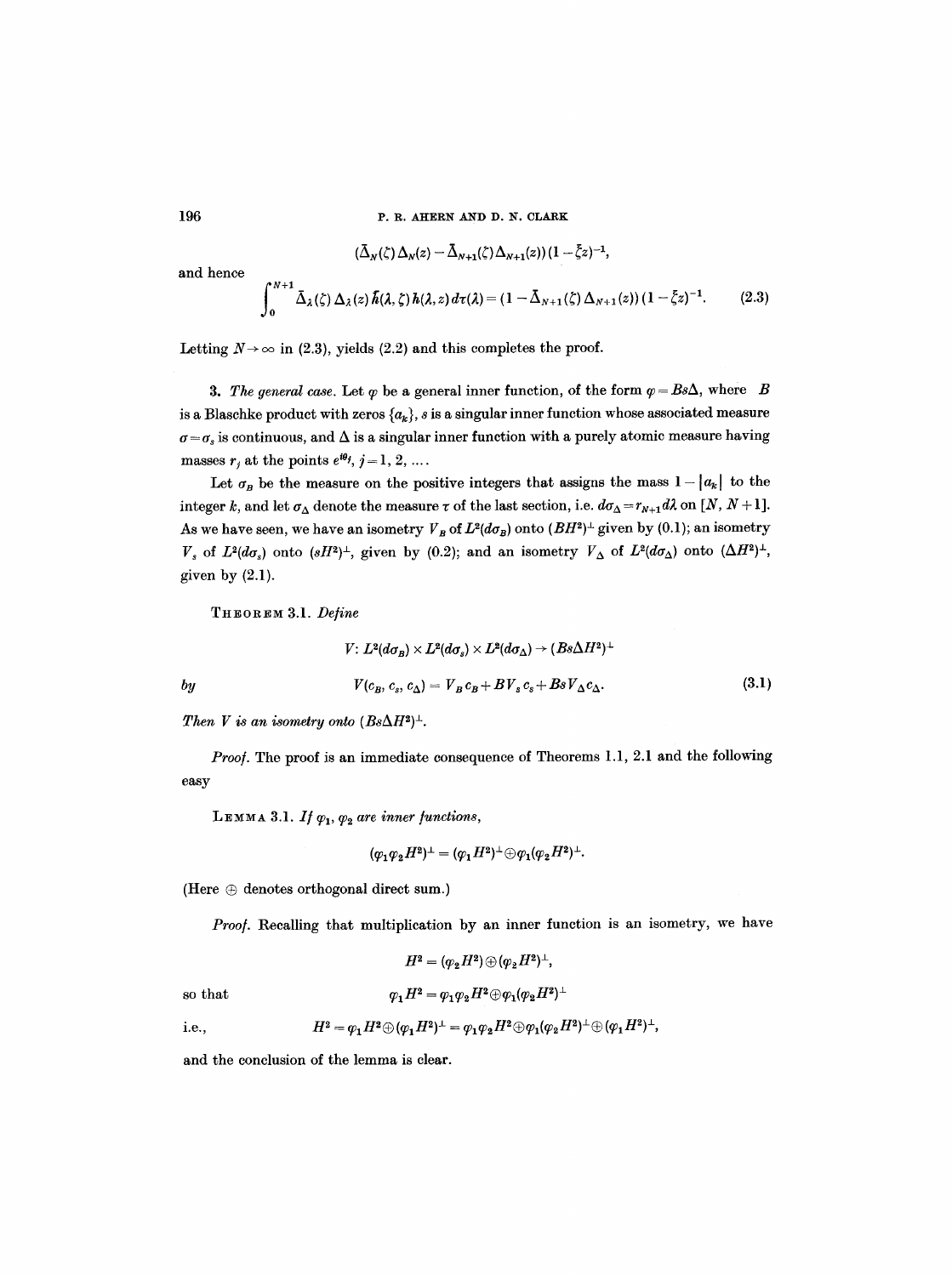$$
(\bar{\Delta}_N(\zeta)\Delta_N(z)-\bar{\Delta}_{N+1}(\zeta)\Delta_{N+1}(z))(1-\bar{\zeta}z)^{-1},
$$

and hence

$$
\int_0^{N+1} \bar{\Delta}_{\lambda}(\zeta) \Delta_{\lambda}(z) \bar{h}(\lambda, \zeta) h(\lambda, z) d\tau(\lambda) = (1 - \bar{\Delta}_{N+1}(\zeta) \Delta_{N+1}(z)) (1 - \bar{\zeta} z)^{-1}.
$$
 (2.3)

Letting  $N \rightarrow \infty$  in (2.3), yields (2.2) and this completes the proof.

**3.** The general case. Let  $\varphi$  be a general inner function, of the form  $\varphi = Bs\Delta$ , where B is a Blaschke product with zeros  $\{a_k\}$ , s is a singular inner function whose associated measure  $\sigma = \sigma_s$  is continuous, and  $\Delta$  is a singular inner function with a purely atomic measure having masses  $r_i$  at the points  $e^{i\theta_j}$ ,  $j = 1, 2, ...$ .

Let  $\sigma_B$  be the measure on the positive integers that assigns the mass  $1 - |a_k|$  to the integer k, and let  $\sigma_{\Delta}$  denote the measure  $\tau$  of the last section, i.e.  $d\sigma_{\Delta} = r_{N+1}d\lambda$  on [N, N + 1]. As we have seen, we have an isometry  $V_B$  of  $L^2(d\sigma_B)$  onto  $(BH^2)^{\perp}$  given by (0.1); an isometry  $V_s$  of  $L^2(d\sigma_s)$  onto  $(sH^2)^{\perp}$ , given by (0.2); and an isometry  $V_{\Delta}$  of  $L^2(d\sigma_{\Delta})$  onto  $(\Delta H^2)^{\perp}$ , given by  $(2.1)$ .

THEOREM 3.1. *Define* 

$$
V: L^2(d\sigma_B) \times L^2(d\sigma_s) \times L^2(d\sigma_A) \to (Bs\Delta H^2)^{\perp}
$$
  

$$
V(c_B, c_s, c_\Delta) = V_B c_B + BV_s c_s + BsV_\Delta c_\Delta.
$$
 (3.1)

*Then V is an isometry onto*  $(Bs\Delta H^2)^{\perp}$ *.* 

*Proo/.* The proof is an immediate consequence of Theorems 1.1, 2.1 and the following easy

LEMMA 3.1. *If*  $\varphi_1$ ,  $\varphi_2$  are inner functions,

$$
(\varphi_1 \varphi_2 H^2)^{\perp} = (\varphi_1 H^2)^{\perp} \oplus \varphi_1 (\varphi_2 H^2)^{\perp}.
$$

(Here  $\oplus$  denotes orthogonal direct sum.)

*Proo/.* Recalling that multiplication by an inner function is an isometry, we have

$$
H^2=(\varphi_2H^2)\oplus(\varphi_2H^2)^\perp,
$$
 so that 
$$
\varphi_1H^2=\varphi_1\varphi_2H^2\oplus\varphi_1(\varphi_2H^2)^\perp
$$

i.e., 
$$
H^2=\varphi_1H^2\oplus(\varphi_1H^2)^{\perp}=\varphi_1\varphi_2H^2\oplus\varphi_1(\varphi_2H^2)^{\perp}\oplus(\varphi_1H^2)^{\perp},
$$

and the conclusion of the lemma is clear.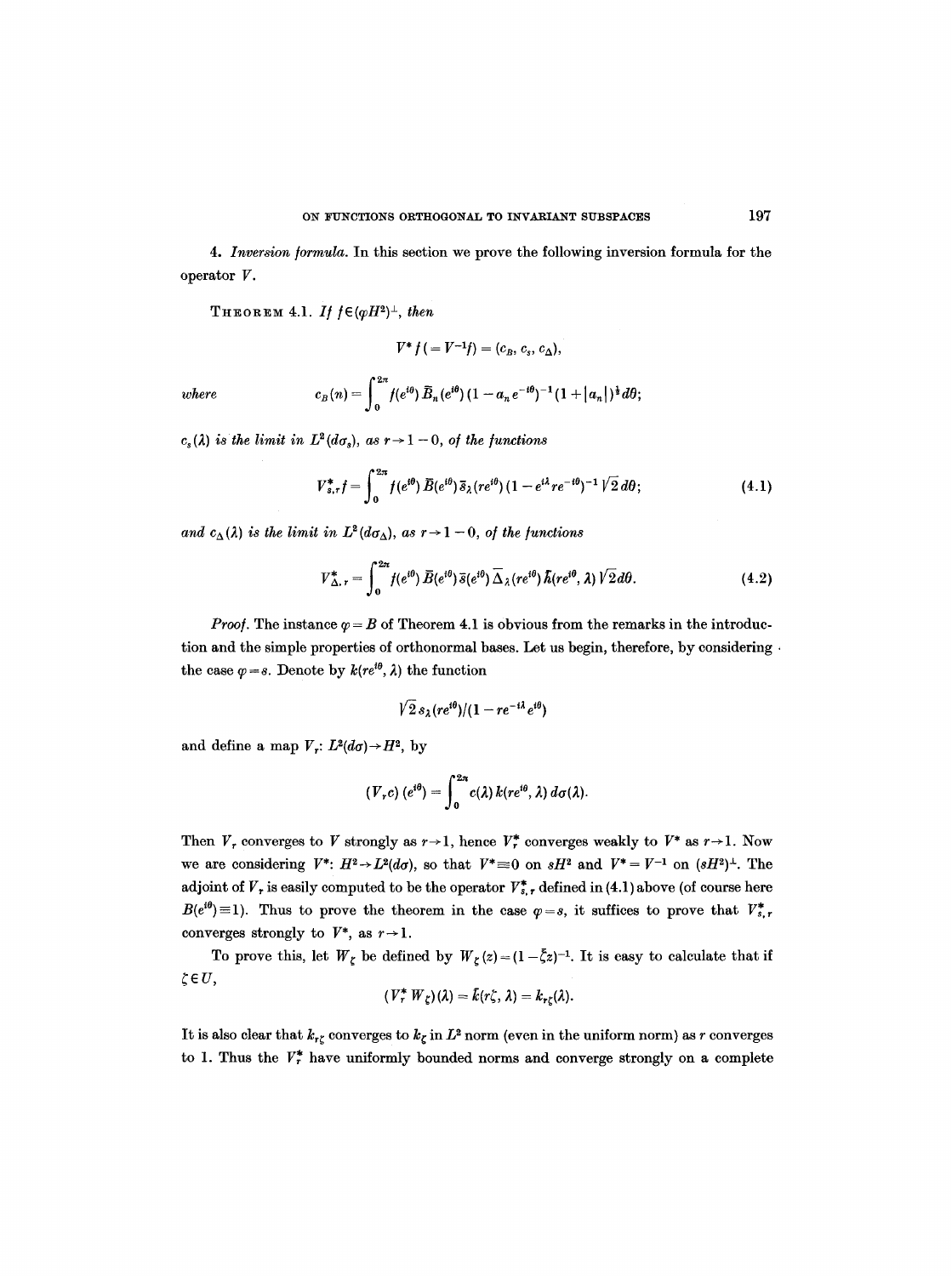4. Inversion formula. In this section we prove the following inversion formula for the operator V.

THEOREM 4.1. *If*  $f \in (\varphi H^2)^{\perp}$ *, then* 

$$
V^* f (= V^{-1} f) = (c_B, c_s, c_\Delta),
$$

where 
$$
c_B(n) = \int_0^{2\pi} f(e^{i\theta}) \, \bar{B}_n(e^{i\theta}) \, (1 - a_n e^{-i\theta})^{-1} (1 + |a_n|)^{\frac{1}{2}} d\theta;
$$

 $c_s(\lambda)$  is the limit in  $L^2(d\sigma_s)$ , as  $r\rightarrow 1-0$ , of the functions

$$
V_{s,\tau}^* f = \int_0^{2\pi} f(e^{i\theta}) \, \bar{B}(e^{i\theta}) \, \bar{s}_{\lambda}(re^{i\theta}) \, (1 - e^{i\lambda} re^{-i\theta})^{-1} \sqrt{2} \, d\theta; \tag{4.1}
$$

and  $c_{\Delta}(\lambda)$  is the limit in  $L^2(d\sigma_{\Delta})$ , as  $r \to 1 - 0$ , of the functions

$$
V_{\Delta,\,r}^* = \int_0^{2\pi} f(e^{i\theta}) \,\overline{B}(e^{i\theta}) \,\overline{\Delta}_{\lambda}(re^{i\theta}) \,\overline{\Delta}_{\lambda}(re^{i\theta},\lambda) \sqrt{2} \,d\theta. \tag{4.2}
$$

*Proof.* The instance  $\varphi = B$  of Theorem 4.1 is obvious from the remarks in the introduction and the simple properties of orthonormal bases. Let us begin, therefore, by considering. the case  $\varphi = s$ . Denote by  $k(re^{i\theta}, \lambda)$  the function

$$
\sqrt{2} s_{\lambda} (re^{i\theta})/(1-re^{-i\lambda}e^{i\theta})
$$

and define a map  $V_r: L^2(d\sigma) \rightarrow H^2$ , by

$$
(V_r c) (e^{i\theta}) = \int_0^{2\pi} c(\lambda) k(re^{i\theta}, \lambda) d\sigma(\lambda).
$$

Then  $V_r$  converges to V strongly as  $r \rightarrow 1$ , hence  $V_r^*$  converges weakly to  $V^*$  as  $r \rightarrow 1$ . Now we are considering  $V^*: H^2 \rightarrow L^2(d\sigma)$ , so that  $V^* \equiv 0$  on  $sH^2$  and  $V^* = V^{-1}$  on  $(sH^2)^{\perp}$ . The adjoint of  $V_r$  is easily computed to be the operator  $V_{s,r}^*$  defined in (4.1) above (of course here  $B(e^{i\theta})\equiv 1$ ). Thus to prove the theorem in the case  $\varphi=s$ , it suffices to prove that  $V_{s,r}^*$ converges strongly to  $V^*$ , as  $r \rightarrow 1$ .

To prove this, let  $W_{\zeta}$  be defined by  $W_{\zeta}(z)=(1-\overline{\zeta}z)^{-1}$ . It is easy to calculate that if  $\zeta \in U$ ,

$$
(V_r^* W_{\zeta})(\lambda) = \bar{k}(r\zeta, \lambda) = k_{r\zeta}(\lambda).
$$

It is also clear that  $k_{r\zeta}$  converges to  $k_{\zeta}$  in  $L^2$  norm (even in the uniform norm) as r converges to 1. Thus the  $V_r^*$  have uniformly bounded norms and converge strongly on a complete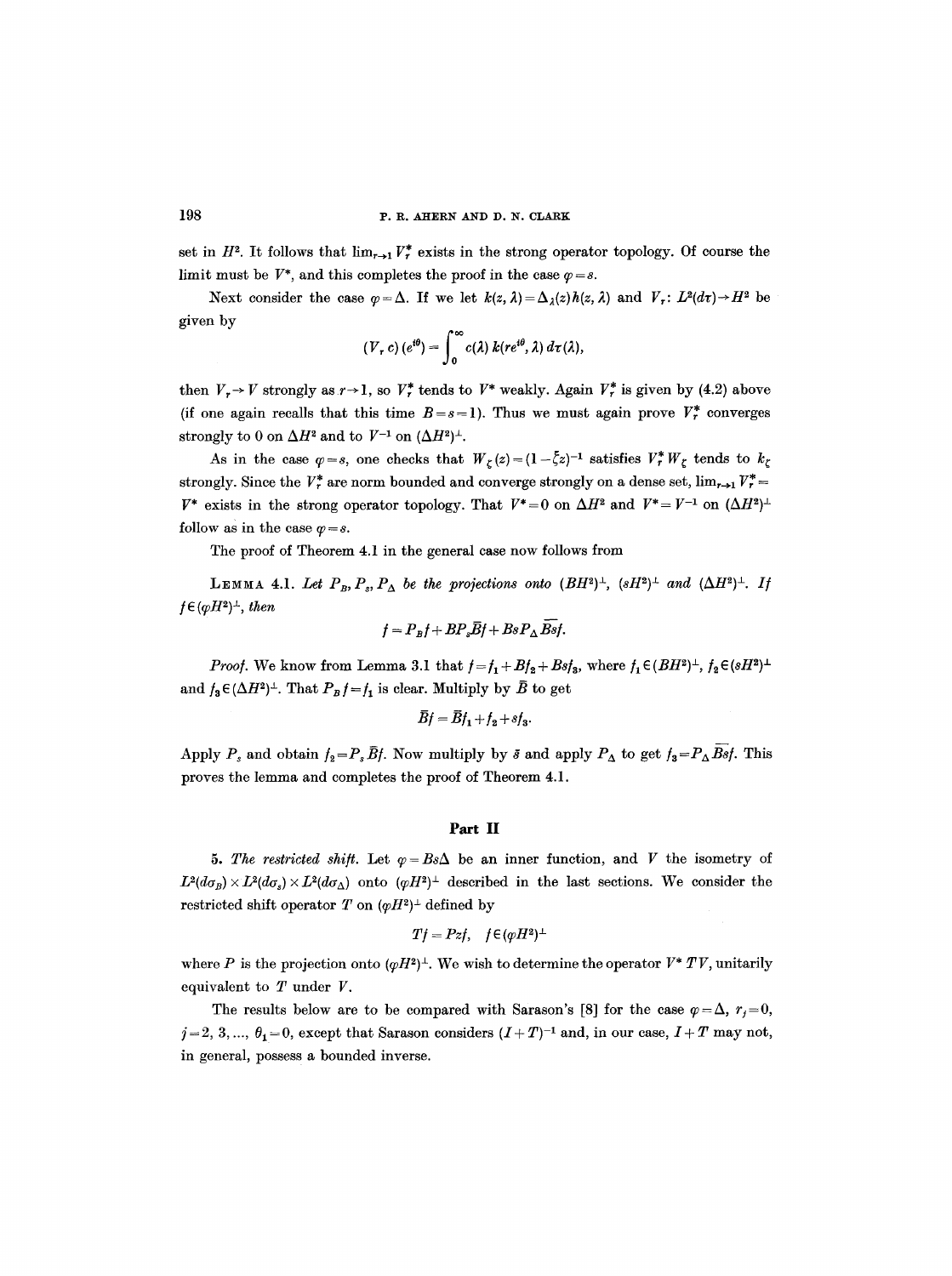set in  $H^2$ . It follows that  $\lim_{r\to 1} V_r^*$  exists in the strong operator topology. Of course the limit must be  $V^*$ , and this completes the proof in the case  $\varphi = s$ .

Next consider the case  $\varphi = \Delta$ . If we let  $k(z, \lambda) = \Delta_{\lambda}(z)h(z, \lambda)$  and  $V_r: L^2(d\tau) \rightarrow H^2$  be given by

$$
(V_r c) (e^{i\theta}) = \int_0^{\infty} c(\lambda) k(re^{i\theta}, \lambda) d\tau(\lambda),
$$

then  $V_r \rightarrow V$  strongly as  $r \rightarrow 1$ , so  $V_r^*$  tends to  $V^*$  weakly. Again  $V_r^*$  is given by (4.2) above (if one again recalls that this time  $B = s = 1$ ). Thus we must again prove  $V<sup>*</sup><sub>r</sub>$  converges strongly to 0 on  $\Delta H^2$  and to  $V^{-1}$  on  $(\Delta H^2)^{\perp}$ .

As in the case  $\varphi=s$ , one checks that  $W_{\zeta}(z)=(1-\bar{\zeta}z)^{-1}$  satisfies  $V^*_{r}W_{\zeta}$  tends to  $k_{\zeta}$ strongly. Since the  $V_r^*$  are norm bounded and converge strongly on a dense set,  $\lim_{r\to 1} V_r^*$  $V^*$  exists in the strong operator topology. That  $V^*=0$  on  $\Delta H^2$  and  $V^*=V^{-1}$  on  $(\Delta H^2)^{\perp}$ follow as in the case  $\varphi = s$ .

The proof of Theorem 4.1 in the general case now follows from

LEMMA 4.1. Let  $P_B, P_s, P_{\Delta}$  be the projections onto  $(BH^2)^{\perp}$ ,  $(sH^2)^{\perp}$  and  $(\Delta H^2)^{\perp}$ . If  $f \in (pH^2)^{\perp}$ , then

$$
f = P_B f + B P_s \overline{B} f + B s P_{\Delta} \overline{B} s f.
$$

*Proof.* We know from Lemma 3.1 that  $f = f_1 + Bf_2 + Bsf_3$ , where  $f_1 \in (BH^2)^{\perp}, f_2 \in (sH^2)^{\perp}$ and  $f_3 \in (\Delta H^2)^{\perp}$ . That  $P_B f = f_1$  is clear. Multiply by  $\overline{B}$  to get

$$
\overline{B}f = \overline{B}f_1 + f_2 + sf_3.
$$

Apply  $P_s$  and obtain  $f_2=P_s\bar{B}f$ . Now multiply by  $\bar{s}$  and apply  $P_{\Delta}$  to get  $f_3=P_{\Delta}B\bar{s}f$ . This proves the lemma and completes the proof of Theorem 4.1.

#### **Part** II

5. The restricted shift. Let  $\varphi = B \circ \Delta$  be an inner function, and V the isometry of  $L^2(d\sigma_B) \times L^2(d\sigma_S) \times L^2(d\sigma_A)$  onto  $(\varphi H^2)^{\perp}$  described in the last sections. We consider the restricted shift operator T on  $(\varphi H^2)^{\perp}$  defined by

$$
Tf = Pzf, \quad f \in (qH^2)^{\perp}
$$

where P is the projection onto  $(\varphi H^2)^{\perp}$ . We wish to determine the operator  $V^* TV$ , unitarily equivalent to  $T$  under  $V$ .

The results below are to be compared with Sarason's [8] for the case  $\varphi = \Delta$ ,  $r_j = 0$ ,  $j=2, 3, ..., \theta_1=0$ , except that Sarason considers  $(I+T)^{-1}$  and, in our case,  $I+T$  may not, in general, possess a bounded inverse.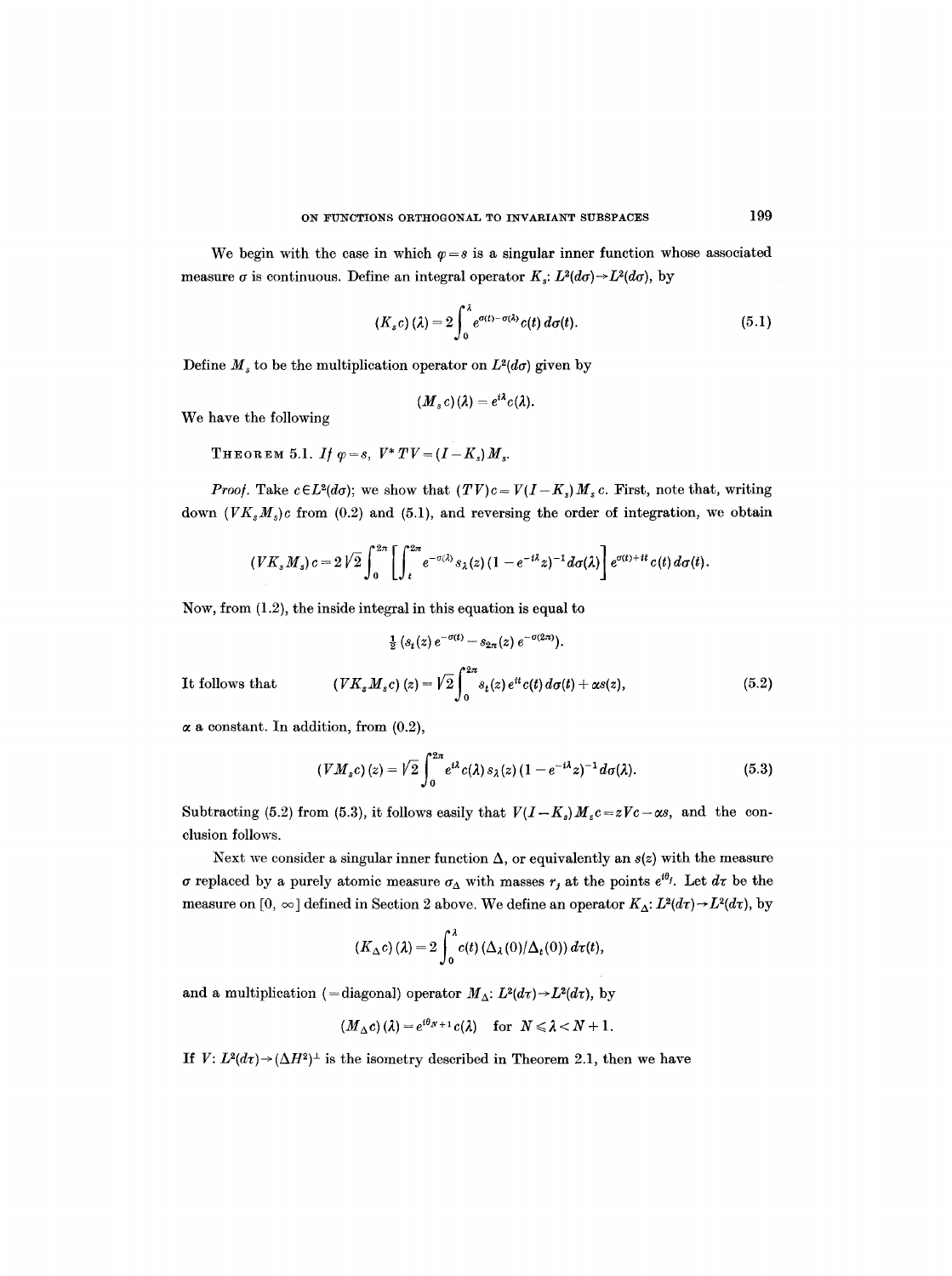We begin with the case in which  $\varphi = s$  is a singular inner function whose associated measure  $\sigma$  is continuous. Define an integral operator  $K: L^2(d\sigma) \rightarrow L^2(d\sigma)$ , by

$$
(K_s c)(\lambda) = 2 \int_0^{\lambda} e^{\sigma(t) - \sigma(\lambda)} c(t) d\sigma(t).
$$
 (5.1)

Define  $M_s$  to be the multiplication operator on  $L^2(d\sigma)$  given by

$$
(M_s c)(\lambda) = e^{i\lambda} c(\lambda).
$$

We have the following

THEOREM 5.1. *If*  $\varphi = s$ ,  $V^* TV = (I - K_s) M_s$ .

*Proof.* Take  $c \in L^2(d\sigma)$ ; we show that  $(TV)c = V(I-K_s)M_s c$ . First, note that, writing down  $(VK_sM_s)c$  from (0.2) and (5.1), and reversing the order of integration, we obtain

$$
(VK_s M_s)c=2\sqrt{2}\int_0^{2\pi}\left[\int_t^{2\pi}e^{-\sigma(\lambda)}s_\lambda(z)(1-e^{-i\lambda}z)^{-1}d\sigma(\lambda)\right]e^{\sigma(t)+it}c(t)\,d\sigma(t).
$$

Now, from (1.2), the inside integral in this equation is equal to

$$
\frac{1}{2} \left( s_t(z) e^{-\sigma(t)} - s_{2\pi}(z) e^{-\sigma(2\pi)} \right).
$$
  
It follows that 
$$
\left( V K_s M_s c \right)(z) = \sqrt{2} \int_0^{2\pi} s_t(z) e^{it} c(t) d\sigma(t) + \alpha s(z), \tag{5.2}
$$

 $\alpha$  a constant. In addition, from (0.2),

$$
(VM_s c)(z) = \sqrt{2} \int_0^{2\pi} e^{i\lambda} c(\lambda) s_{\lambda}(z) (1 - e^{-i\lambda} z)^{-1} d\sigma(\lambda).
$$
 (5.3)

Subtracting (5.2) from (5.3), it follows easily that  $V(I-K_s)M_s c=zVc-\alpha s$ , and the conclusion follows.

Next we consider a singular inner function  $\Delta$ , or equivalently an  $s(z)$  with the measure  $\sigma$  replaced by a purely atomic measure  $\sigma_{\Delta}$  with masses  $r_j$  at the points  $e^{i\theta_j}$ . Let  $d\tau$  be the measure on  $[0, \infty]$  defined in Section 2 above. We define an operator  $K_{\Delta}: L^2(d\tau) \to L^2(d\tau)$ , by

$$
(K_{\Delta}c)(\lambda) = 2 \int_0^{\lambda} c(t) \left(\Delta_{\lambda}(0)/\Delta_t(0)\right) d\tau(t),
$$

and a multiplication (=diagonal) operator  $M_{\Delta}$ :  $L^2(d\tau) \rightarrow L^2(d\tau)$ , by

$$
(M_{\Delta}c)(\lambda) = e^{i\theta_N + 1}c(\lambda) \quad \text{for} \ \ N \leq \lambda < N + 1.
$$

If  $V: L^2(d\tau) \rightarrow (\Delta H^2)^{\perp}$  is the isometry described in Theorem 2.1, then we have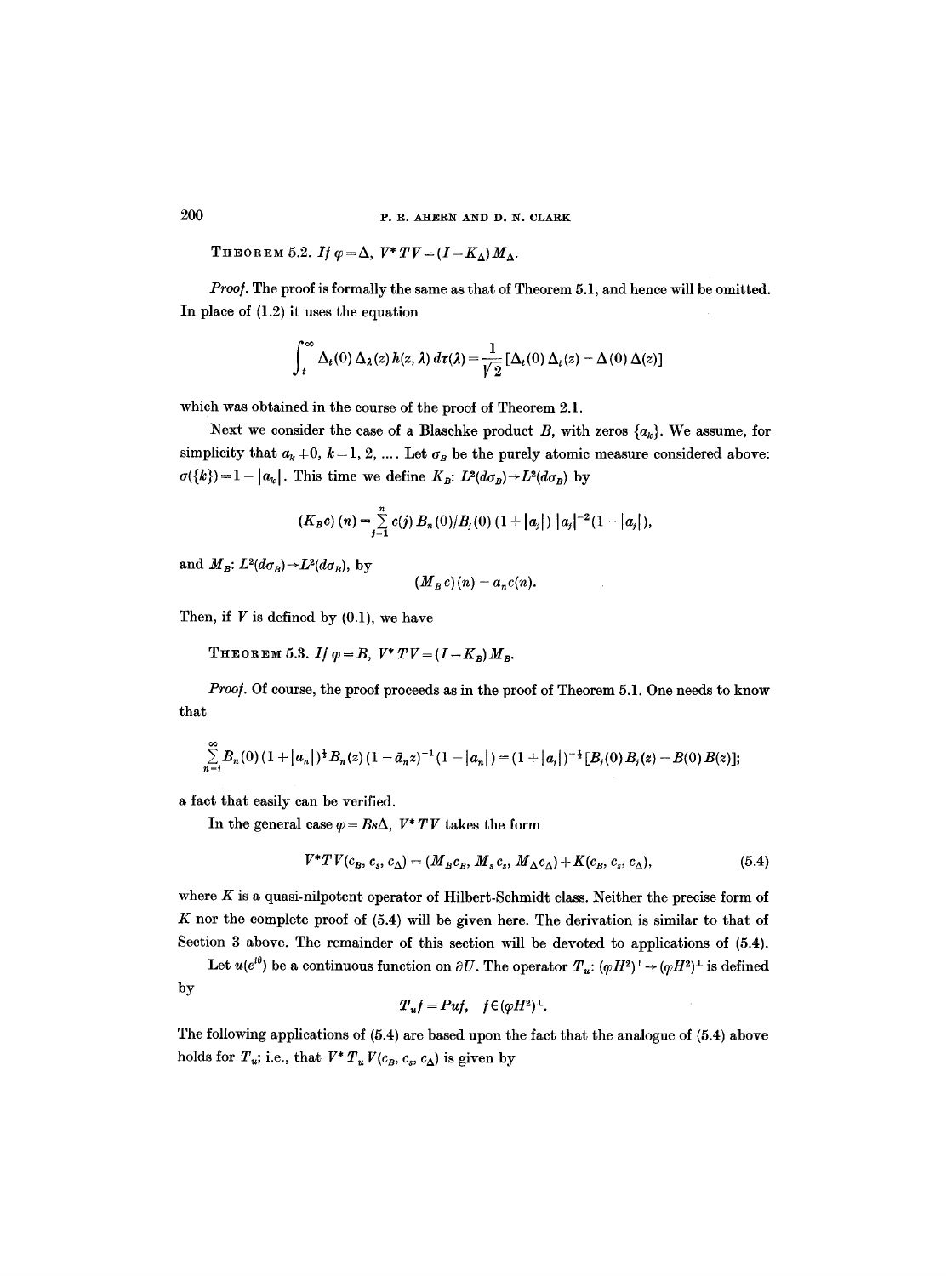THEOREM 5.2. If  $\varphi = \Delta$ ,  $V^* TV = (I - K_A) M_A$ .

*Proo/.* The proof is formally the same as that of Theorem 5.1, and hence will be omitted. In place of (1.2) it uses the equation

$$
\int_t^{\infty} \Delta_t(0) \Delta_{\lambda}(z) h(z, \lambda) d\tau(\lambda) = \frac{1}{\sqrt{2}} [\Delta_t(0) \Delta_t(z) - \Delta(0) \Delta(z)]
$$

which was obtained in the course of the proof of Theorem 2.1.

Next we consider the case of a Blaschke product B, with zeros  $\{a_k\}$ . We assume, for simplicity that  $a_k = 0, k = 1, 2, ...$  Let  $\sigma_B$  be the purely atomic measure considered above:  $\sigma({k})=1- |a_{k}|$ . This time we define  $K_{B}: L^{2}(d\sigma_{B})\rightarrow L^{2}(d\sigma_{B})$  by

$$
(K_B c) (n) = \sum_{j=1}^n c(j) B_n(0)/B_j(0) (1+|a_j|) |a_j|^{-2} (1-|a_j|),
$$

and  $M_B$ :  $L^2(d\sigma_B) \rightarrow L^2(d\sigma_B)$ , by

$$
(\underline{M}_B c)(n) = a_n c(n).
$$

Then, if  $V$  is defined by  $(0.1)$ , we have

THEOREM 5.3. *If*  $\varphi = B$ ,  $V^* T V = (I - K_B) M_B$ .

Proof. Of course, the proof proceeds as in the proof of Theorem 5.1. One needs to know that

$$
\sum_{n=j}^{\infty} B_n(0) (1+|a_n|)^{\frac{1}{2}} B_n(z) (1-\bar{a}_n z)^{-1} (1-|a_n|) = (1+|a_j|)^{-\frac{1}{2}} [B_j(0) B_j(z)-B(0) B(z)];
$$

a fact that easily can be verified.

In the general case  $\varphi = Bs\Delta$ ,  $V^* TV$  takes the form

$$
V^*TV(c_B, c_s, c_\Delta) = (M_B c_B, M_s c_s, M_\Delta c_\Delta) + K(c_B, c_s, c_\Delta),\tag{5.4}
$$

where  $K$  is a quasi-nilpotent operator of Hilbert-Schmidt class. Neither the precise form of  $K$  nor the complete proof of  $(5.4)$  will be given here. The derivation is similar to that of Section 3 above. The remainder of this section will be devoted to applications of (5.4).

Let  $u(e^{i\theta})$  be a continuous function on  $\partial U$ . The operator  $T_u: (\varphi H^2)^{\perp} \to (\varphi H^2)^{\perp}$  is defined by

$$
T_uf=Puf,\quad f\in (\varphi H^2)^{\perp}.
$$

The following applications of (5.4) are based upon the fact that the analogue of (5.4) above holds for  $T_u$ ; i.e., that  $V^* T_u V(c_B, c_s, c_\Delta)$  is given by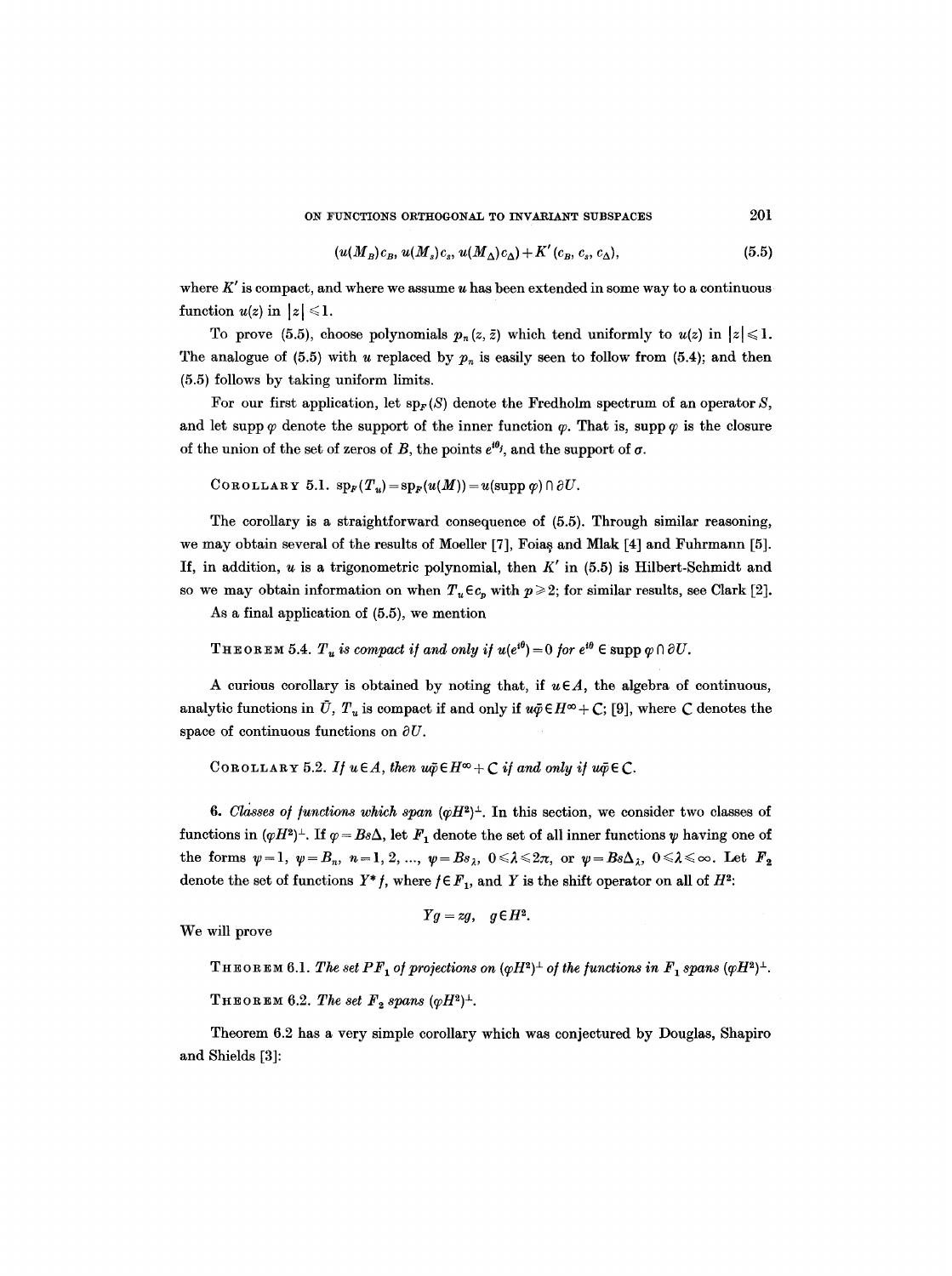ON FUNCTIONS ORTHOGONAL TO INVARIANT SUBSPACES 201

$$
(u(M_B)c_B, u(M_s)c_s, u(M_\Delta)c_\Delta) + K'(c_B, c_s, c_\Delta), \qquad (5.5)
$$

where  $K'$  is compact, and where we assume u has been extended in some way to a continuous function  $u(z)$  in  $|z| \leq 1$ .

To prove (5.5), choose polynomials  $p_n(z, \bar{z})$  which tend uniformly to  $u(z)$  in  $|z| \leq 1$ . The analogue of (5.5) with u replaced by  $p_n$  is easily seen to follow from (5.4); and then (5.5) follows by taking uniform limits.

For our first application, let  $sp_F(S)$  denote the Fredholm spectrum of an operator S, and let supp  $\varphi$  denote the support of the inner function  $\varphi$ . That is, supp  $\varphi$  is the closure of the union of the set of zeros of B, the points  $e^{i\theta_j}$ , and the support of  $\sigma$ .

COROLLARY 5.1.  $\text{sp}_F(T_u) = \text{sp}_F(u(M)) = u(\text{supp }\varphi) \cap \partial U.$ 

The corollary is a straightforward consequence of (5.5). Through similar reasoning, we may obtain several of the results of Moeller [7], Foias and Mlak [4] and Fuhrmann [5]. If, in addition,  $u$  is a trigonometric polynomial, then  $K'$  in (5.5) is Hilbert-Schmidt and so we may obtain information on when  $T_u \in c_n$  with  $p \geq 2$ ; for similar results, see Clark [2].

As a final application of (5.5), we mention

THEOREM 5.4.  $T_u$  is compact if and only if  $u(e^{i\theta}) = 0$  for  $e^{i\theta} \in \text{supp } \varphi \cap \partial U$ .

A curious corollary is obtained by noting that, if  $u \in A$ , the algebra of continuous, analytic functions in  $\bar{U}$ ,  $T_u$  is compact if and only if  $u\bar{\varphi} \in H^{\infty} + C$ ; [9], where C denotes the space of continuous functions on  $\partial U$ .

COROLLARY 5.2. If  $u \in A$ , then  $u\tilde{\varphi} \in H^{\infty} + C$  if and only if  $u\tilde{\varphi} \in C$ .

**6.** Classes of functions which span  $(\varphi H^2)^{\perp}$ . In this section, we consider two classes of functions in  $(\varphi H^2)^{\perp}$ . If  $\varphi = Bs\Delta$ , let  $F_1$  denote the set of all inner functions  $\psi$  having one of  ${\rm the \;\; forms}\;\; \psi=1,\; \psi=B_n,\; \, n=1,\, 2,\,...,\; \psi=Bs_\lambda,\; 0\leqslant \lambda\leqslant 2\pi,\; {\rm or} \;\; \psi=Bs\Delta_\lambda,\; 0\leqslant \lambda\leqslant \infty. \;\; {\rm Let} \;\; F_2$ denote the set of functions  $Y^*f$ , where  $f \in F_1$ , and Y is the shift operator on all of  $H^2$ :

We will prove

$$
Yg = zg, \quad g \in H^2.
$$

**THEOREM 6.1.** The set PF<sub>1</sub> of projections on  $(\varphi H^2)^{\perp}$  of the functions in  $F_1$  spans  $(\varphi H^2)^{\perp}$ .

THEOREM 6.2. The set  $F_2$  spans ( $\varphi H^2$ )<sup> $\perp$ </sup>.

Theorem 6.2 has a very simple corollary which was conjectured by Douglas, Shapiro and Shields [3]: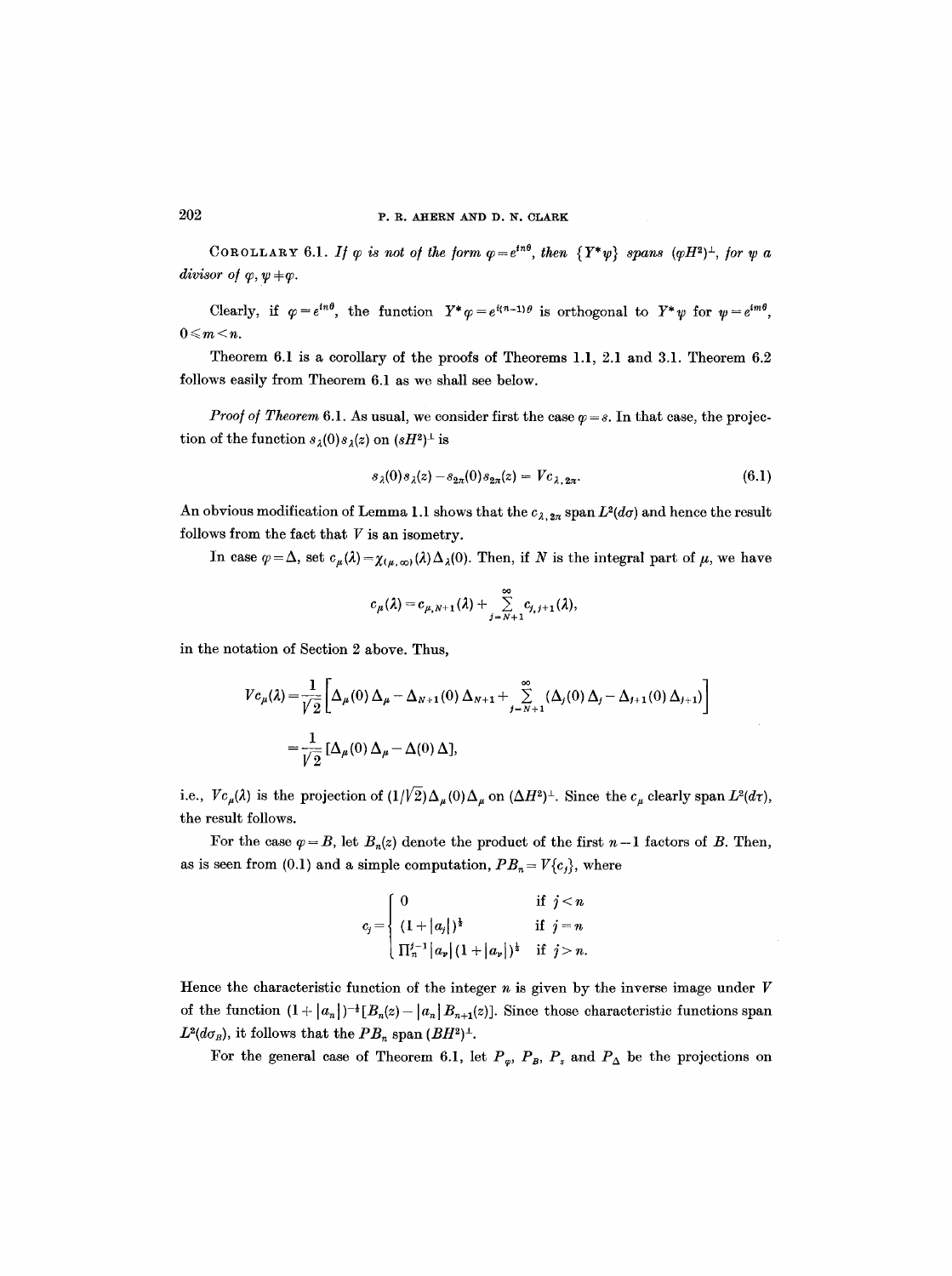COROLLARY 6.1. If  $\varphi$  is not of the form  $\varphi=e^{in\theta}$ , then  $\{Y^*\psi\}$  spans  $(\varphi H^2)^{\perp}$ , for  $\psi$  a *divisor of*  $\varphi, \psi \neq \varphi$ .

Clearly, if  $\varphi = e^{in\theta}$ , the function  $Y^*\varphi = e^{i(n-1)\theta}$  is orthogonal to  $Y^*\psi$  for  $\psi = e^{im\theta}$ ,  $0 \leqslant m \leq n$ .

Theorem 6.1 is a corollary of the proofs of Theorems 1.1, 2.1 and 3.1. Theorem 6.2 follows easily from Theorem 6.1 as we shall see below.

*Proof of Theorem* 6.1. As usual, we consider first the case  $\varphi = s$ . In that case, the projection of the function  $s_{\lambda}(0)s_{\lambda}(z)$  on  $(sH^2)^{\perp}$  is

$$
s_{\lambda}(0)s_{\lambda}(z) - s_{2\pi}(0)s_{2\pi}(z) = Vc_{\lambda, 2\pi}.
$$
\n(6.1)

An obvious modification of Lemma 1.1 shows that the  $c_{\lambda, 2\pi}$  span  $L^2(d\sigma)$  and hence the result follows from the fact that  $V$  is an isometry.

In case  $\varphi = \Delta$ , set  $c_{\mu}(\lambda) = \chi_{(\mu,\infty)}(\lambda)\Delta_{\lambda}(0)$ . Then, if N is the integral part of  $\mu$ , we have

$$
c_{\mu}(\lambda) = c_{\mu,N+1}(\lambda) + \sum_{j=N+1}^{\infty} c_{j,j+1}(\lambda),
$$

in the notation of Section 2 above. Thus,

$$
V c_{\mu}(\lambda) = \frac{1}{\sqrt{2}} \left[ \Delta_{\mu}(0) \Delta_{\mu} - \Delta_{N+1}(0) \Delta_{N+1} + \sum_{j=N+1}^{\infty} (\Delta_{j}(0) \Delta_{j} - \Delta_{j+1}(0) \Delta_{j+1}) \right]
$$
  
=  $\frac{1}{\sqrt{2}} [\Delta_{\mu}(0) \Delta_{\mu} - \Delta(0) \Delta],$ 

i.e.,  $Vc_{\mu}(\lambda)$  is the projection of  $(1/\sqrt{2})\Delta_{\mu}(0)\Delta_{\mu}$  on  $(\Delta H^{2})^{\perp}$ . Since the  $c_{\mu}$  clearly span  $L^{2}(d\tau)$ , the result follows.

For the case  $\varphi = B$ , let  $B_n(z)$  denote the product of the first  $n-1$  factors of B. Then, as is seen from (0.1) and a simple computation,  $PB_n = V{c_j}$ , where

$$
c_j = \begin{cases} 0 & \text{if } j < n \\ (1 + |a_j|)^{\frac{1}{2}} & \text{if } j = n \\ \prod_{n=1}^{j-1} |a_p| (1 + |a_p|)^{\frac{1}{2}} & \text{if } j > n. \end{cases}
$$

Hence the characteristic function of the integer  $n$  is given by the inverse image under  $V$ of the function  $(1+|a_n|)^{-\frac{1}{2}}[B_n(z)-|a_n|B_{n+1}(z)]$ . Since those characteristic functions span  $L^2(d\sigma_B)$ , it follows that the  $PB_n$  span  $(BH^2)^{\perp}$ .

For the general case of Theorem 6.1, let  $P_{\varphi}$ ,  $P_{B}$ ,  $P_{s}$  and  $P_{\Delta}$  be the projections on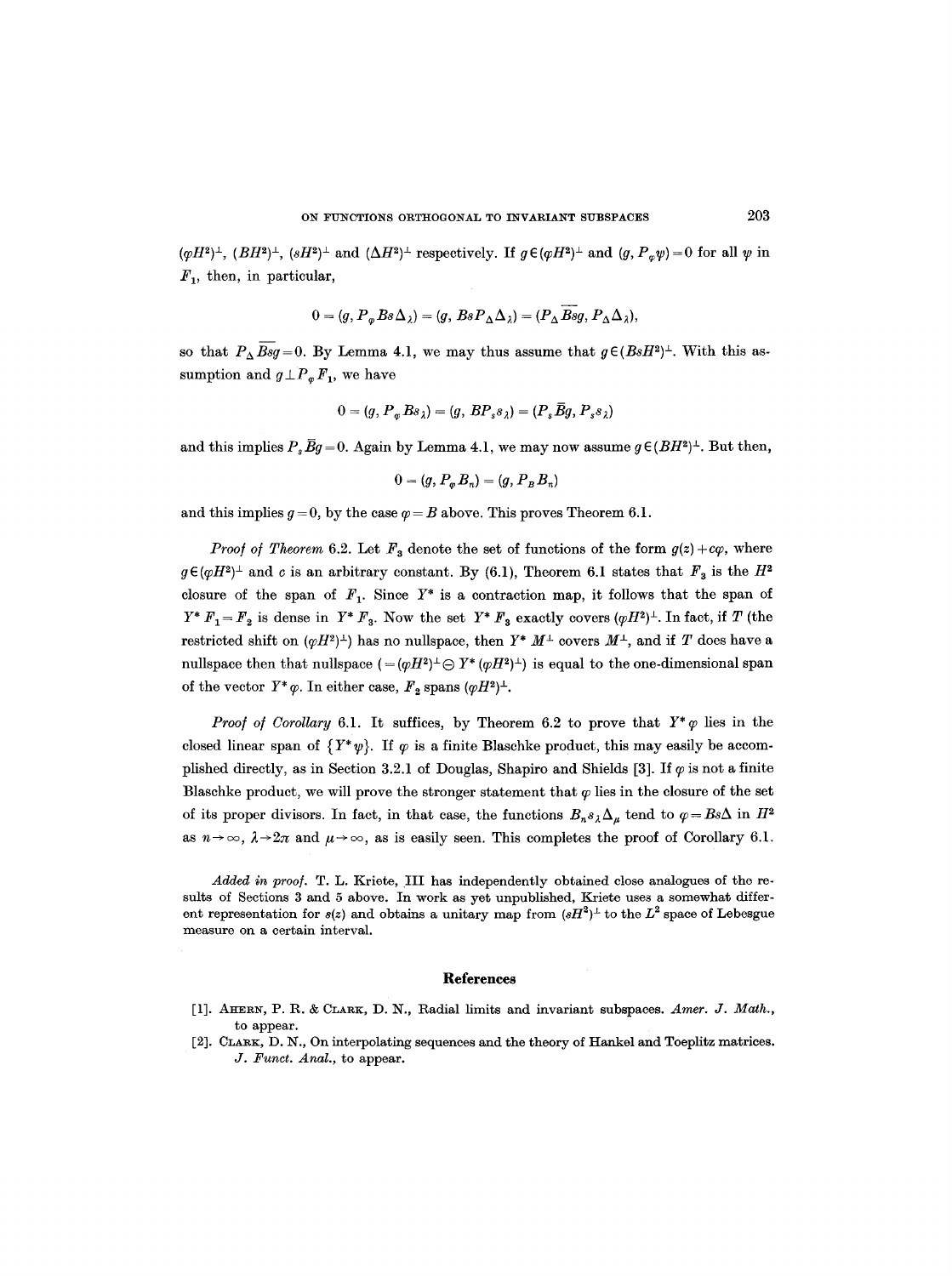$(\varphi H^2)^{\perp}$ ,  $(BH^2)^{\perp}$ ,  $(sH^2)^{\perp}$  and  $(\Delta H^2)^{\perp}$  respectively. If  $g \in (\varphi H^2)^{\perp}$  and  $(g, P_{\varphi} \psi) = 0$  for all  $\psi$  in  $F_1$ , then, in particular,

$$
0 = (g, P_{\varphi} Bs \Delta_{\lambda}) = (g, Bs P_{\Delta} \Delta_{\lambda}) = (P_{\Delta} Bsg, P_{\Delta} \Delta_{\lambda}),
$$

so that  $P_{\Delta}$   $\overline{Bsg}=0$ . By Lemma 4.1, we may thus assume that  $g \in (BsH^2)^{\perp}$ . With this assumption and  $g \perp P_{\varphi} F_1$ , we have

$$
0 = (g, P_{\varphi} Bs_{\lambda}) = (g, BP_s s_{\lambda}) = (P_s \overline{B}g, P_s s_{\lambda})
$$

and this implies  $P,~\bar{B}q = 0$ . Again by Lemma 4.1, we may now assume  $q \in (BH^2)^{\perp}$ . But then,

$$
0=(g,P_{\varphi}B_n)=(g,P_BB_n)
$$

and this implies  $g=0$ , by the case  $\varphi = B$  above. This proves Theorem 6.1.

*Proof of Theorem 6.2.* Let  $F_3$  denote the set of functions of the form  $g(z)+c\varphi$ , where  $g \in (\varphi H^2)^{\perp}$  and c is an arbitrary constant. By (6.1), Theorem 6.1 states that  $F_3$  is the  $H^2$ closure of the span of  $F_1$ . Since  $Y^*$  is a contraction map, it follows that the span of  $Y^* F_1 = F_2$  is dense in  $Y^* F_3$ . Now the set  $Y^* F_3$  exactly covers  $(\varphi H^2)^{\perp}$ . In fact, if T (the restricted shift on  $(\varphi H^2)^{\perp}$  has no nullspace, then  $Y^* M^{\perp}$  covers  $M^{\perp}$ , and if T does have a nullspace then that nullspace  $(=(\varphi H^2)^{\perp} \ominus Y^*(\varphi H^2)^{\perp})$  is equal to the one-dimensional span of the vector  $Y^*\varphi$ . In either case,  $F_2$  spans  $(\varphi H^2)^{\perp}$ .

*Proof of Corollary* 6.1. It suffices, by Theorem 6.2 to prove that  $Y^*\varphi$  lies in the closed linear span of  $\{Y^*\psi\}$ . If  $\varphi$  is a finite Blaschke product, this may easily be accomplished directly, as in Section 3.2.1 of Douglas, Shapiro and Shields [3]. If  $\varphi$  is not a finite Blaschke product, we will prove the stronger statement that  $\varphi$  lies in the closure of the set of its proper divisors. In fact, in that case, the functions  $B_n s_\lambda \Delta_\mu$  tend to  $\varphi = B \hat{\alpha} \Delta$  in  $H^2$ as  $n \to \infty$ ,  $\lambda \to 2\pi$  and  $\mu \to \infty$ , as is easily seen. This completes the proof of Corollary 6.1.

*Added in proo]. T. L.* Kriete, III has independently obtained close analogues of the resuits of Sections 3 and 5 above. In work as yet unpublished, Kriete uses a somewhat different representation for  $s(z)$  and obtains a unitary map from  $(sH^2)^{\perp}$  to the L<sup>2</sup> space of Lebesgue measure on a certain interval.

#### **References**

- [1]. AHERN, P. R. & CLARK, D. N., Radial limits and invariant subspaces. Amer. J. Math., to appear.
- [2]. CLARK, D. N., On interpolating sequences and the theory of Hankel and Toeplitz matrices. *J. Funct. Anal., to appear.*